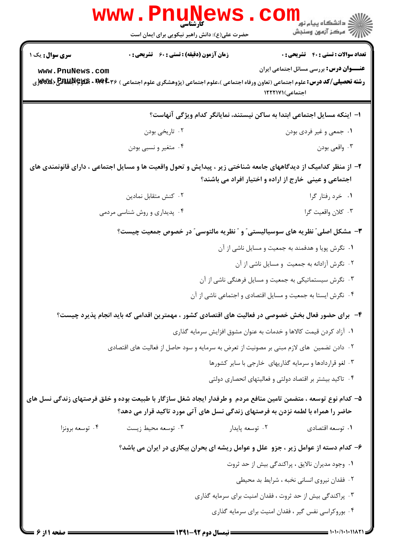|                                           | کارشناسی<br>حضرت علی(ع): دانش راهبر نیکویی برای ایمان است                                                                                                                                                   |                                                                                    | د دانشڪاه پيام نور<br>7- مرڪز آزمون وسنڊش                                                    |
|-------------------------------------------|-------------------------------------------------------------------------------------------------------------------------------------------------------------------------------------------------------------|------------------------------------------------------------------------------------|----------------------------------------------------------------------------------------------|
| <b>سری سوال :</b> یک ۱<br>www.PnuNews.com | <b>زمان آزمون (دقیقه) : تستی : 60 ٪ تشریحی : 0</b><br><b>رشته تحصیلی/کد درس:</b> علوم اجتماعی (تعاون ورفاه اجتماعی )،علوم اجتماعی (پژوهشگری علوم اجتماعی ) <b>۵۳۴۴۰ × RAUAR &amp; BAUAR &amp; K</b> و WW)ری | اجتماعی)۱۲۲۲۱۷۱                                                                    | <b>تعداد سوالات : تستي : 40 قشريحي : 0</b><br><b>عنـــوان درس:</b> بررسی مسائل اجتماعی ایران |
|                                           |                                                                                                                                                                                                             | ا– اینکه مسایل اجتماعی ابتدا به ساکن نیستند، نمایانگر کدام ویژگی آنهاست؟           |                                                                                              |
|                                           | ۰۲ تاریخی بودن                                                                                                                                                                                              |                                                                                    | ۰۱ جمعی و غیر فردی بودن                                                                      |
|                                           | ۰۴ متغیر و نسبی بودن                                                                                                                                                                                        |                                                                                    | ۰۳ واقعي بودن                                                                                |
|                                           | ۲– از منظر کدامیک از دیدگاههای جامعه شناختی زیر ، پیدایش و تحول واقعیت ها و مسایل اجتماعی ، دارای قانونمندی های                                                                                             | اجتماعی و عینی خارج از اراده و اختیار افراد می باشند؟                              |                                                                                              |
|                                           | ۰۲ کنش متقابل نمادین                                                                                                                                                                                        |                                                                                    | ٠١ خرد رفتار گرا                                                                             |
|                                           | ۰۴ پدیداری و روش شناسی مردمی                                                                                                                                                                                |                                                                                    | ٠٣ كلان واقعيت گرا                                                                           |
|                                           |                                                                                                                                                                                                             | ۳- مشکل اصلی ؒ نظریه های سوسیالیستی ؒ و  ؒ نظریه مالتوسی ؒ در خصوص جمعیت چیست؟     |                                                                                              |
|                                           |                                                                                                                                                                                                             | ۰۱ نگرش پویا و هدفمند به جمعیت و مسایل ناشی از آن                                  |                                                                                              |
|                                           |                                                                                                                                                                                                             |                                                                                    | ٢. نگرش آزادانه به جمعیت و مسایل ناشی از آن                                                  |
|                                           |                                                                                                                                                                                                             | ۰۳ نگرش سیستماتیکی به جمعیت و مسایل فرهنگی ناشی از آن                              |                                                                                              |
|                                           |                                                                                                                                                                                                             | ۰۴ نگرش ایستا به جمعیت و مسایل اقتصادی و اجتماعی ناشی از آن                        |                                                                                              |
|                                           | ۴-۔ برای حضور فعال بخش خصوصی در فعالیت های اقتصادی کشور ، مهمترین اقدامی که باید انجام پذیرد چیست؟                                                                                                          |                                                                                    |                                                                                              |
|                                           |                                                                                                                                                                                                             | ۰۱ آزاد کردن قیمت کالاها و خدمات به عنوان مشوق افزایش سرمایه گذاری                 |                                                                                              |
|                                           | ۰۲ دادن تضمین  های لازم مبنی بر مصونیت از تعرض به سرمایه و سود حاصل از فعالیت های اقتصادی                                                                                                                   |                                                                                    |                                                                                              |
|                                           |                                                                                                                                                                                                             | ۰۳ لغو قراردادها و سرمایه گذاریهای خارجی با سایر کشورها                            |                                                                                              |
|                                           |                                                                                                                                                                                                             | ۰۴ تاکید بیشتر بر اقتصاد دولتی و فعالیتهای انحصاری دولتی                           |                                                                                              |
|                                           | ۵– کدام نوع توسعه ، متضمن تامین منافع مردم ًو طرفدار ایجاد شغل سازگار با طبیعت بوده و خلق فرصتهای زندگی نسل های                                                                                             | حاضر را همراه با لطمه نزدن به فرصتهای زندگی نسل های آتی مورد تاکید قرار می دهد؟    |                                                                                              |
| ۰۴ توسعه برونزا                           | ۰۳ توسعه محيط زيست                                                                                                                                                                                          | ۰۲ توسعه پایدار                                                                    | ۰۱ توسعه اقتصادي                                                                             |
|                                           |                                                                                                                                                                                                             | ۶- کدام دسته از عوامل زیر ، جزو علل و عوامل ریشه ای بحران بیکاری در ایران می باشد؟ |                                                                                              |
|                                           |                                                                                                                                                                                                             |                                                                                    | ۰۱ وجود مدیران نالایق ، پراکندگی بیش از حد ثروت                                              |
|                                           |                                                                                                                                                                                                             |                                                                                    | ۰۲ فقدان نیروی انسانی نخبه ، شرایط بد محیطی                                                  |
|                                           |                                                                                                                                                                                                             | ۰۳ پراکندگی بیش از حد ثروت ، فقدان امنیت برای سرمایه گذاری                         |                                                                                              |
|                                           |                                                                                                                                                                                                             | ۰۴ بوروکراسی نفس گیر ، فقدان امنیت برای سرمایه گذاری                               |                                                                                              |
| <b>صفحه ۱ از ۶ =</b>                      |                                                                                                                                                                                                             | = نیمسال دوم ۹۲-۱۳۹۱ ===                                                           |                                                                                              |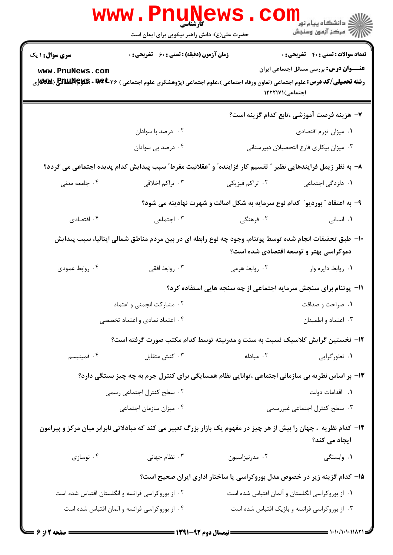|                                                                            |                 | حضرت علی(ع): دانش راهبر نیکویی برای ایمان است                                                                                                        |                        |
|----------------------------------------------------------------------------|-----------------|------------------------------------------------------------------------------------------------------------------------------------------------------|------------------------|
| <b>تعداد سوالات : تستی : 40 - تشریحی : 0</b>                               |                 | <b>زمان آزمون (دقیقه) : تستی : 60 ٪ تشریحی : 0</b>                                                                                                   | <b>سری سوال : ۱ یک</b> |
| <b>عنـــوان درس:</b> بررسی مسائل اجتماعی ایران                             | اجتماعی)۱۲۲۲۱۷۱ | <b>رشته تحصیلی/کد درس:</b> علوم اجتماعی (تعاون ورفاه اجتماعی )،علوم اجتماعی (پژوهشگری علوم اجتماعی ) <b>۱۹۴۴۰۰ MWX + RAUA (Byys &amp; A) و WW</b> X) | www.PnuNews.com        |
| ٧– هزينه فرصت آموزشي ،تابع كدام گزينه است؟                                 |                 |                                                                                                                                                      |                        |
| ۰۱ میزان تورم اقتصادی                                                      |                 | ۰۲ درصد با سوادان                                                                                                                                    |                        |
| ٠٣ ميزان بيكاري فارغ التحصيلان دبيرستاني                                   |                 | ۰۴ درصد بی سوادان                                                                                                                                    |                        |
|                                                                            |                 | ٨− به نظر زيمل فرايندهايي نظير ″ تقسيم كار فزاينده″ و ″عقلانيت مفرط″ سبب پيدايش كدام پديده اجتماعي مي گردد؟                                          |                        |
| ۰۱ دلزدگی اجتماعی                                                          | ۰۲ تراکم فیزیکی | ۰۳ تراکم اخلاقی                                                                                                                                      | ۰۴ جامعه مدنی          |
| ۹- به اعتقاد ″ بوردیو″ کدام نوع سرمایه به شکل اصالت و شهرت نهادینه می شود؟ |                 |                                                                                                                                                      |                        |
| ۰۱ انسانی                                                                  | ۰۲ فرهنگی       | ۰۳ اجتماعی                                                                                                                                           | ۰۴ اقتصادی             |
| دموکراسی بهتر و توسعه اقتصادی شده است؟                                     |                 | ∙ا− طبق تحقیقات انجام شده توسط پوتنام، وجود چه نوع رابطه ای در بین مردم مناطق شمالی ایتالیا، سبب پیدایش                                              |                        |
| ٠١. روابط دايره وار                                                        | ۰۲ روابط هرمی   | ۰۳ روابط افقی                                                                                                                                        | ۰۴ روابط عمودی         |
| 1۱- پوتنام برای سنجش سرمایه اجتماعی از چه سنجه هایی استفاده کرد؟           |                 |                                                                                                                                                      |                        |
| ۰۱ صراحت و صداقت                                                           |                 | ۰۲ مشارکت انجمنی و اعتماد                                                                                                                            |                        |
| ۰۳ اعتماد و اطمينان                                                        |                 | ۰۴ اعتماد نمادی و اعتماد تخصصی                                                                                                                       |                        |
|                                                                            |                 | ۱۲- نخستین گرایش کلاسیک نسبت به سنت و مدرنیته توسط کدام مکتب صورت گرفته است؟                                                                         |                        |
| ۰۱ تطورگرایی                                                               | ۰۲ مبادله       | ۰۳ کنش متقابل                                                                                                                                        | ۰۴ فمینیسم             |
|                                                                            |                 | ۱۳- بر اساس نظریه بی سازمانی اجتماعی ،توانایی نظام همسایگی برای کنترل جرم به چه چیز بستگی دارد؟                                                      |                        |
| ٠١. اقدامات دولت                                                           |                 | ۰۲ سطح کنترل اجتماعی رسمی                                                                                                                            |                        |
| ۰۳ سطح کنترل اجتماعی غیررسمی                                               |                 | ۰۴ میزان سازمان اجتماعی                                                                                                                              |                        |
| ایجاد می کند؟                                                              |                 | ۱۴- کدام نظریه ، جهان را بیش از هر چیز در مفهوم یک بازار بزرگ تعبیر می کند که مبادلاتی نابرابر میان مرکز و پیرامون                                   |                        |
| ۰۱ وابستگی                                                                 | ۰۲ مدرنیزاسیون  | ۰۳ نظام جهانی                                                                                                                                        | ۰۴ نوسازی              |
| ۱۵– کدام گزینه زیر در خصوص مدل بوروکراسی یا ساختار اداری ایران صحیح است؟   |                 |                                                                                                                                                      |                        |
| ۰۱ از بوروکراسی انگلستان و آلمان اقتباس شده است                            |                 | ۰۲ از بوروکراسی فرانسه و انگلستان اقتباس شده است                                                                                                     |                        |
| ۰۳ از بوروکراسی فرانسه و بلژیک اقتباس شده است                              |                 | ۰۴ از بوروكراسي فرانسه و المان اقتباس شده است                                                                                                        |                        |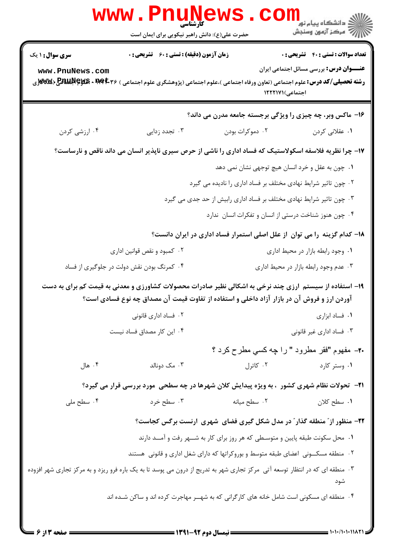|                                                                                                                               | WWW . FI<br>حضرت علی(ع): دانش راهبر نیکویی برای ایمان است                                         |                                                                                            | ڪ دانشڪاه پيا <sub>م</sub> نور<br><mark>ر</mark> 7 مرڪز آزمون وسنڊش                                                                                                                                                 |  |  |
|-------------------------------------------------------------------------------------------------------------------------------|---------------------------------------------------------------------------------------------------|--------------------------------------------------------------------------------------------|---------------------------------------------------------------------------------------------------------------------------------------------------------------------------------------------------------------------|--|--|
| سری سوال: ۱ یک                                                                                                                | <b>زمان آزمون (دقیقه) : تستی : 60 ٪ تشریحی : 0</b>                                                |                                                                                            | <b>تعداد سوالات : تستی : 40 قشریحی : 0</b>                                                                                                                                                                          |  |  |
| www.PnuNews.com                                                                                                               |                                                                                                   |                                                                                            | <b>عنـــوان درس:</b> بررسی مسائل اجتماعی ایران<br><b>رشته تحصیلی/کد درس:</b> علوم اجتماعی (تعاون ورفاه اجتماعی )،علوم اجتماعی (پژوهشگری علوم اجتماعی ) <b>۱۹۹۴۰۰ MWX × HPVF (PANJA</b> R) (WWXزی<br>اجتماعی)۱۲۲۲۱۷۱ |  |  |
|                                                                                                                               |                                                                                                   |                                                                                            | ۱۶- ماکس وبر، چه چیزی را ویژگی برجسته جامعه مدرن می داند؟                                                                                                                                                           |  |  |
| ۰۴ ارزشی کردن                                                                                                                 | ۰۳ تجدد زدایی                                                                                     | ۰۲ دموکرات بودن                                                                            | ۰۱ عقلان <sub>ی</sub> کردن                                                                                                                                                                                          |  |  |
|                                                                                                                               |                                                                                                   |                                                                                            | ۱۷- چرا نظریه فلاسفه اسکولاستیک که فساد اداری را ناشی از حرص سیری ناپذیر انسان می داند ناقص و نارساست؟                                                                                                              |  |  |
|                                                                                                                               |                                                                                                   |                                                                                            | ۰۱ چون به عقل و خرد انسان هیچ توجهی نشان نمی دهد                                                                                                                                                                    |  |  |
|                                                                                                                               |                                                                                                   | ۰۲ چون تاثیر شرایط نهادی مختلف بر فساد اداری را نادیده می گیرد                             |                                                                                                                                                                                                                     |  |  |
|                                                                                                                               |                                                                                                   | ۰۳ چون تاثیر شرایط نهادی مختلف بر فساد اداری رابیش از حد جدی می گیرد                       |                                                                                                                                                                                                                     |  |  |
|                                                                                                                               |                                                                                                   |                                                                                            | ۰۴ چون هنوز شناخت درستی از انسان و تفکرات انسان ندارد                                                                                                                                                               |  |  |
|                                                                                                                               |                                                                                                   |                                                                                            | ۱۸– کدام گزینه را می توان از علل اصلی استمرار فساد اداری در ایران دانست؟                                                                                                                                            |  |  |
|                                                                                                                               | ۰۲ کمبود و نقص قوانین اداری                                                                       |                                                                                            | ٠١ وجود رابطه بازار در محيط ادارى                                                                                                                                                                                   |  |  |
|                                                                                                                               | ۰۴ کمرنگ بودن نقش دولت در جلوگیری از فساد                                                         |                                                                                            | ۰۳ عدم وجود رابطه بازار در محیط اداری                                                                                                                                                                               |  |  |
|                                                                                                                               |                                                                                                   | آوردن ارز و فروش آن در بازار آزاد داخلی و استفاده از تفاوت قیمت آن مصداق چه نوع فسادی است؟ | ۱۹– استفاده از سیستم ٔارزی چند نرخی به اشکالی نظیر صادرات محصولات کشاورزی و معدنی به قیمت کم برای به دست                                                                                                            |  |  |
|                                                                                                                               | ۰۲ فساد اداری قانونی                                                                              |                                                                                            | ۰۱ فساد ابزاری                                                                                                                                                                                                      |  |  |
|                                                                                                                               | ۰۴ این کار مصداق فساد نیست                                                                        |                                                                                            | ۰۳ فساد اداری غیر قانونی                                                                                                                                                                                            |  |  |
|                                                                                                                               |                                                                                                   |                                                                                            | <b>۲۰</b> – مفهوم "فقر مطرود " را چه کسی مطرح کرد ؟                                                                                                                                                                 |  |  |
| ۰۴ هال                                                                                                                        | ۰۳ مک دونالد                                                                                      | ۰۲ کاترل                                                                                   | ۰۱ وستر کارد                                                                                                                                                                                                        |  |  |
|                                                                                                                               | <b>۲۱</b> - تحولات نظام شهری کشور ، به ویژه پیدایش کلان شهرها در چه سطحی مورد بررسی قرار می گیرد؟ |                                                                                            |                                                                                                                                                                                                                     |  |  |
| ۰۴ سطح ملی                                                                                                                    | ۰۳ سطح خرد                                                                                        | ۰۲ سطح میانه                                                                               | ٠١. سطح كلان                                                                                                                                                                                                        |  |  |
|                                                                                                                               |                                                                                                   |                                                                                            | ۲۲- منظور از ً منطقه گذار ً در مدل شکل گیری فضای ًشهری ارنست برگس کجاست؟                                                                                                                                            |  |  |
|                                                                                                                               |                                                                                                   | ۰۱ محل سکونت طبقه پایین و متوسطی که هر روز برای کار به شــهر رفت و آمــد دارند             |                                                                                                                                                                                                                     |  |  |
|                                                                                                                               |                                                                                                   | ۲۰٪ منطقه مسکــونی اعضای طبقه متوسط و بوروکراتها که دارای شغل اداری و قانونی  هستند        |                                                                                                                                                                                                                     |  |  |
| ۰۳ منطقه ای که در انتظار توسعه آتی  مرکز تجاری شهر به تدریج از درون می پوسد تا به یک باره فرو ریزد و به مرکز تجاری شهر افزوده |                                                                                                   |                                                                                            | شود                                                                                                                                                                                                                 |  |  |
|                                                                                                                               |                                                                                                   | ۰۴ منطقه ای مسکونی است شامل خانه های کارگرانی که به شهــر مهاجرت کرده اند و ساکن شـده اند  |                                                                                                                                                                                                                     |  |  |
|                                                                                                                               |                                                                                                   |                                                                                            |                                                                                                                                                                                                                     |  |  |

 $= 1.1 - (1.1.11AT)$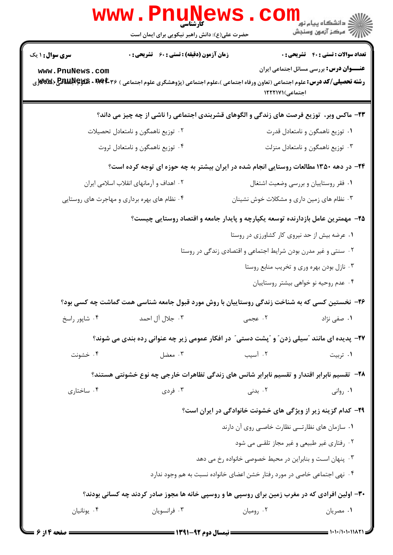| W W W                                                                                 | کارشناسی<br>حضرت علی(ع): دانش راهبر نیکویی برای ایمان است                                                                                       |                                                                           | ر دانشڪاه پيام نور "<br> 7 مرڪز آزمون وسنڊش    |
|---------------------------------------------------------------------------------------|-------------------------------------------------------------------------------------------------------------------------------------------------|---------------------------------------------------------------------------|------------------------------------------------|
| <b>سری سوال : ۱ یک</b>                                                                | <b>زمان آزمون (دقیقه) : تستی : 60 ٪ تشریحی : 0</b>                                                                                              |                                                                           | <b>تعداد سوالات : تستی : 40 - تشریحی : 0</b>   |
| www.PnuNews.com                                                                       | <b>رشته تحصیلی/کد درس: ع</b> لوم اجتماعی (تعاون ورفاه اجتماعی )،علوم اجتماعی (پژوهشگری علوم اجتماعی ) <b>۱۹۹۴۰۰ × PAUP (PAU) (WW</b> ر <b>W</b> | اجتماعی)۱۲۲۲۱۷۱                                                           | <b>عنـــوان درس:</b> بررسی مسائل اجتماعی ایران |
|                                                                                       | ۲۳- ماکس وبر،  توزیع فرصت های زندگی و الگوهای قشربندی اجتماعی را ناشی از چه چیز می داند؟                                                        |                                                                           |                                                |
|                                                                                       | ۰۲ توزیع ناهمگون و نامتعادل تحصیلات                                                                                                             |                                                                           | ۰۱ توزیع ناهمگون و نامتعادل قدرت               |
|                                                                                       | ۰۴ توزیع ناهمگون و نامتعادل ثروت                                                                                                                |                                                                           | ۰۳ توزیع ناهمگون و نامتعادل منزلت              |
| ۲۴- در دهه ۱۳۵۰ مطالعات روستایی انجام شده در ایران بیشتر به چه حوزه ای توجه کرده است؟ |                                                                                                                                                 |                                                                           |                                                |
|                                                                                       | ۰۲ اهداف و آرمانهای انقلاب اسلامی ایران                                                                                                         |                                                                           | ۰۱ فقر روستاییان و بررسی وضعیت اشتغال          |
|                                                                                       | ۰۴ نظام های بهره برداری و مهاجرت های روستایی                                                                                                    | ۰۳ نظام های زمین داری و مشکلات خوش نشینان                                 |                                                |
|                                                                                       | ۲۵– مهمترین عامل بازدارنده توسعه یکپارچه و پایدار جامعه و اقتصاد روستایی چیست؟                                                                  |                                                                           |                                                |
|                                                                                       |                                                                                                                                                 | ٠١ عرضه بيش از حد نيروى كار كشاورزى در روستا                              |                                                |
|                                                                                       |                                                                                                                                                 | ۰۲ سنتی و غیر مدرن بودن شرایط اجتماعی و اقتصادی زندگی در روستا            |                                                |
|                                                                                       |                                                                                                                                                 |                                                                           | ۰۳ نازل بودن بهره وری و تخریب منابع روستا      |
|                                                                                       |                                                                                                                                                 |                                                                           | ۰۴ عدم روحیه نو خواهی بیشتر روستاییان          |
|                                                                                       | ۲۶- نخستین کسی که به شناخت زندگی روستاییان با روش مورد قبول جامعه شناسی همت گماشت چه کسی بود؟                                                   |                                                                           |                                                |
| ۰۴ شاپور راسخ                                                                         | ۰۳ جلال آل احمد                                                                                                                                 | ۰۲ عجمی                                                                   | ٠١. صفي نژاد                                   |
|                                                                                       | <b>۲۷</b> - پدیده ای مانند آسیلی زدن ؒ و ؍پشت دستی ؒ در افکار عمومی زیر چه عنوانی رده بندی می شوند؟                                             |                                                                           |                                                |
| ۰۴ خشونت                                                                              | ۰۳ معضل                                                                                                                                         | ۰۲ آسیب                                                                   | ۰۱ تربیت                                       |
|                                                                                       | ۲۸– تقسیم نابرابر اقتدار و تقسیم نابرابر شانس های زندگی تظاهرات خارجی چه نوع خشونتی هستند؟                                                      |                                                                           |                                                |
| ۰۴ ساختاری                                                                            | ۰۳ فردی                                                                                                                                         | ۰۲ بدنی                                                                   | ۰۱ روانی                                       |
|                                                                                       |                                                                                                                                                 | ۲۹- کدام گزینه زیر از ویژگی های خشونت خانوادگی در ایران است؟              |                                                |
|                                                                                       |                                                                                                                                                 | ٠١ سازمان هاى نظارتــى نظارت خاصـى روى آن دارند                           |                                                |
|                                                                                       |                                                                                                                                                 |                                                                           | ۰۲ رفتاری غیر طبیعی و غیر مجاز تلقـی می شود    |
|                                                                                       |                                                                                                                                                 | ۰۳ پنهان است و بنابراین در محیط خصوصی خانواده رخ می دهد                   |                                                |
|                                                                                       |                                                                                                                                                 | ۰۴ نهی اجتماعی خاصی در مورد رفتار خشن اعضای خانواده نسبت به هم وجود ندارد |                                                |
|                                                                                       | ۳۰- اولین افرادی که در مغرب زمین برای روسپی ها و روسپی خانه ها مجوز صادر کردند چه کسانی بودند؟                                                  |                                                                           |                                                |
| ۰۴ يونانيان                                                                           | ۰۳ فرانسويان                                                                                                                                    | ۰۲ رومیان                                                                 | ۰۱ مصریان                                      |

**DESIMATE** 

 $\sim$ 

 $1.5.5$ 

i a njëtë a një

t,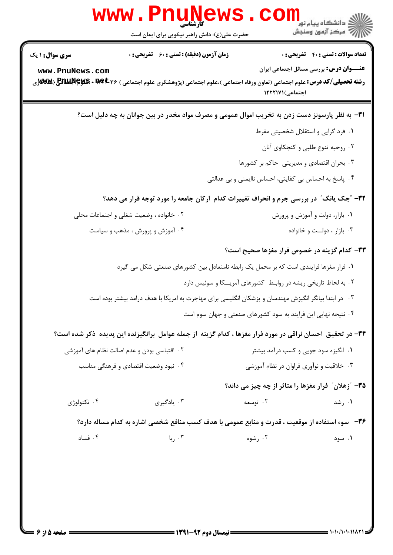| <b>سری سوال : ۱ یک</b> | <b>زمان آزمون (دقیقه) : تستی : 60 ٪ تشریحی : 0</b>                                                                                           |                                                               | <b>تعداد سوالات : تستي : 40 ٪ تشريحي : 0</b>   |
|------------------------|----------------------------------------------------------------------------------------------------------------------------------------------|---------------------------------------------------------------|------------------------------------------------|
| www.PnuNews.com        | <b>رشته تحصیلی/کد درس: ع</b> لوم اجتماعی (تعاون ورفاه اجتماعی )،علوم اجتماعی (پژوهشگری علوم اجتماعی ) <b>۱۹۹۴۰۰ MWAX به BAWAN به BAWA</b> X. | اجتماعی)۱۲۲۲۱۷۱                                               | <b>عنـــوان درس:</b> بررسی مسائل اجتماعی ایران |
|                        | ۳۱– به نظر پارسونز دست زدن به تخریب اموال عمومی و مصرف مواد مخدر در بین جوانان به چه دلیل است؟                                               |                                                               |                                                |
|                        |                                                                                                                                              |                                                               | ٠١ فرد گرايي و استقلال شخصيتي مفرط             |
|                        |                                                                                                                                              |                                                               | ۰۲ روحیه تنوع طلبی و کنجکاوی آنان              |
|                        |                                                                                                                                              | ۰۳ بحران اقتصادی و مدیریتی حاکم بر کشورها                     |                                                |
|                        |                                                                                                                                              | ۰۴ پاسخ به احساس بی کفایتی، احساس ناایمنی و بی عدالتی         |                                                |
|                        | ۳۲- "جک یانگ" در بررسی جرم و انحراف تغییرات کدام ارکان جامعه را مورد توجه قرار می دهد؟                                                       |                                                               |                                                |
|                        | ۰۲ خانواده ، وضعیت شغلی و اجتماعات محلی                                                                                                      |                                                               | ۰۱ بازار، دولت و آموزش و پرورش                 |
|                        | ۰۴ آموزش و پرورش ، مذهب و سیاست                                                                                                              |                                                               | ۰۳ بازار ، دولت و خانواده                      |
|                        |                                                                                                                                              | ۳۳- کدام گزینه در خصوص فرار مغزها صحیح است؟                   |                                                |
|                        | ۰۱ فرار مغزها فرایندی است که بر محمل یک رابطه نامتعادل بین کشورهای صنعتی شکل می گیرد                                                         |                                                               |                                                |
|                        |                                                                                                                                              | ۰۲ به لحاظ تاریخی ریشه در روابط کشورهای آمریــکا و سوئیس دارد |                                                |
|                        | ۰۳ در ابتدا بیانگر انگیزش مهندسان و پزشکان انگلیسی برای مهاجرت به امریکا با هدف درامد بیشتر بوده است                                         |                                                               |                                                |
|                        |                                                                                                                                              | ۰۴ نتیجه نهایی این فرایند به سود کشورهای صنعتی و جهان سوم است |                                                |
|                        | ۳۴– در تحقیق احسان نراقی در مورد فرار مغزها ، کدام گزینه از جمله عوامل برانگیزنده این پدیده ذکر شده است؟                                     |                                                               |                                                |
|                        | ۰۲ اقتباسی بودن و عدم اصالت نظام های آموزشی                                                                                                  |                                                               | ۰۱ انگیزه سود جویی و کسب درآمد بیشتر           |
|                        | ۰۴ نبود وضعیت اقتصادی و فرهنگی مناسب                                                                                                         |                                                               | ۰۳ خلاقیت و نوآوری فراوان در نظام آموزشی       |
|                        |                                                                                                                                              | ۳۵- ″زهلان″ فرار مغزها را متاثر از چه چیز می داند؟            |                                                |
| ۰۴ تکنولوژی            | ۰۳ يادگيري                                                                                                                                   | ۰۲ توسعه                                                      | ۰۱ رشد                                         |
|                        | ۳۶−   سوء استفاده از موقعیت ، قدرت و منابع عمومی با هدف کسب منافع شخصی اشاره به کدام مساله دارد؟                                             |                                                               |                                                |
| ۰۴ فساد                | ۰۳ ربا $\cdot$                                                                                                                               | ۰۲ رشوه                                                       | ۰۱ سود                                         |
|                        |                                                                                                                                              |                                                               |                                                |